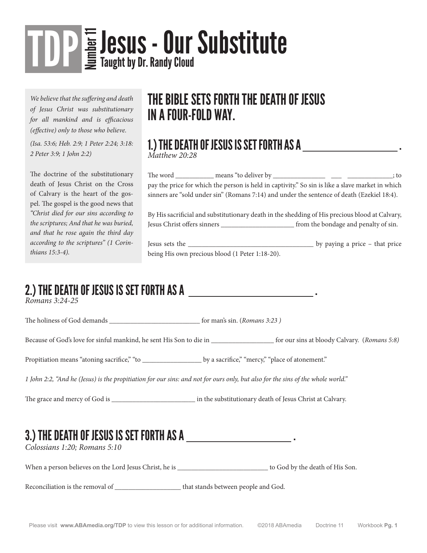# TOP SUS - Our Substitute

*We believe that the suffering and death of Jesus Christ was substitutionary for all mankind and is efficacious (effective) only to those who believe.*

*(Isa. 53:6; Heb. 2:9; 1 Peter 2:24; 3:18: 2 Peter 3:9; 1 John 2:2)*

The doctrine of the substitutionary death of Jesus Christ on the Cross of Calvary is the heart of the gospel. The gospel is the good news that *"Christ died for our sins according to the scriptures; And that he was buried, and that he rose again the third day according to the scriptures" (1 Corinthians 15:3-4).* 

#### THE BIBLE SETS FORTH THE DEATH OF JESUS IN A FOUR-FOLD WAY.

## 1.) THE DEATH OF JESUS IS SET FORTH AS A . *Matthew 20:28*

The word \_\_\_\_\_\_\_\_\_\_\_ means "to deliver by \_\_\_\_\_\_\_\_\_\_\_\_\_\_\_\_\_\_\_\_\_\_\_\_\_\_\_\_\_\_\_\_; to pay the price for which the person is held in captivity." So sin is like a slave market in which sinners are "sold under sin" (Romans 7:14) and under the sentence of death (Ezekiel 18:4).

By His sacrificial and substitutionary death in the shedding of His precious blood at Calvary, Jesus Christ offers sinners \_\_\_\_\_\_\_\_\_\_\_\_\_\_\_\_\_\_\_\_\_ from the bondage and penalty of sin.

Jesus sets the \_\_\_\_\_\_\_\_\_\_\_\_\_\_\_\_\_\_\_\_\_\_\_\_\_\_\_\_\_\_\_\_\_\_\_\_ by paying a price – that price being His own precious blood (1 Peter 1:18-20).

## 2.) THE DEATH OF JESUS IS SET FORTH AS A *\_\_\_\_\_\_\_\_\_\_\_\_\_\_\_\_\_\_\_\_\_\_\_\_\_\_\_\_\_\_***\_**.

The holiness of God demands \_\_\_\_\_\_\_\_\_\_\_\_\_\_\_\_\_\_\_\_\_\_\_\_\_\_ for man's sin. (*Romans 3:23 )*

Because of God's love for sinful mankind, he sent His Son to die in \_\_\_\_\_\_\_\_\_\_\_\_\_\_\_\_\_\_ for our sins at bloody Calvary. (*Romans 5:8)*

Propitiation means "atoning sacrifice," "to \_\_\_\_\_\_\_\_\_\_\_\_\_\_\_\_\_ by a sacrifice," "mercy," "place of atonement."

*1 John 2:2, "And he (Jesus) is the propitiation for our sins: and not for ours only, but also for the sins of the whole world."* 

The grace and mercy of God is \_\_\_\_\_\_\_\_\_\_\_\_\_\_\_\_\_\_\_\_\_\_\_\_\_\_ in the substitutionary death of Jesus Christ at Calvary.

#### 3.) THE DEATH OF JESUS IS SET FORTH AS A  $\_\_\_\_\_\_\_\_\_\_\_$  .

*Colossians 1:20; Romans 5:10*

When a person believes on the Lord Jesus Christ, he is \_\_\_\_\_\_\_\_\_\_\_\_\_\_\_\_\_\_\_\_\_\_\_\_\_\_ to God by the death of His Son.

Reconciliation is the removal of  $\qquad \qquad$  that stands between people and God.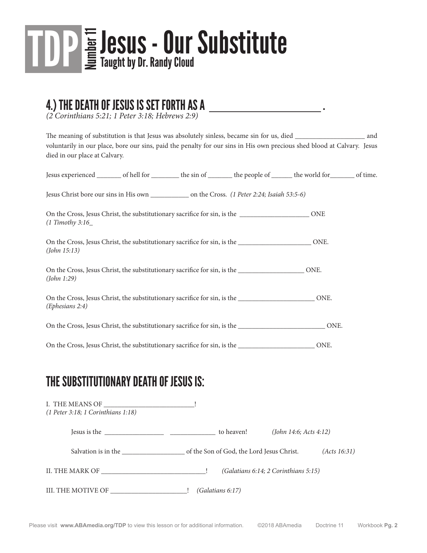

## 4.) THE DEATH OF JESUS IS SET FORTH AS A . *(2 Corinthians 5:21; 1 Peter 3:18; Hebrews 2:9)*

The meaning of substitution is that Jesus was absolutely sinless, became sin for us, died \_\_\_\_\_\_\_\_\_\_\_\_\_\_\_\_\_\_\_\_ and voluntarily in our place, bore our sins, paid the penalty for our sins in His own precious shed blood at Calvary. Jesus died in our place at Calvary.

| Jesus experienced __________ of hell for ___________ the sin of ___________ the people of _________ the world for _________ of time. |  |      |  |
|--------------------------------------------------------------------------------------------------------------------------------------|--|------|--|
|                                                                                                                                      |  |      |  |
| $(1$ Timothy 3:16                                                                                                                    |  |      |  |
| On the Cross, Jesus Christ, the substitutionary sacrifice for sin, is the Crossnell DNE.<br>(John 15:13)                             |  |      |  |
| On the Cross, Jesus Christ, the substitutionary sacrifice for sin, is the Crossnell DNE.<br>(John 1:29)                              |  |      |  |
| On the Cross, Jesus Christ, the substitutionary sacrifice for sin, is the __________________________ONE.<br>(Ephesians 2:4)          |  |      |  |
| On the Cross, Jesus Christ, the substitutionary sacrifice for sin, is the <u>contract and the Cross</u> , ONE.                       |  |      |  |
| On the Cross, Jesus Christ, the substitutionary sacrifice for sin, is the <b>Campannia</b>                                           |  | ONE. |  |

#### THE SUBSTITUTIONARY DEATH OF JESUS IS:

| I. THE MEANS OF<br>$(1$ Peter 3:18; 1 Corinthians 1:18) |                  |                                      |              |
|---------------------------------------------------------|------------------|--------------------------------------|--------------|
|                                                         |                  | (John 14:6; Acts 4:12)               |              |
| Salvation is in the Son of God, the Lord Jesus Christ.  |                  |                                      | (Acts 16:31) |
| II. THE MARK OF                                         |                  | (Galatians 6:14; 2 Corinthians 5:15) |              |
|                                                         | (Galatians 6:17) |                                      |              |